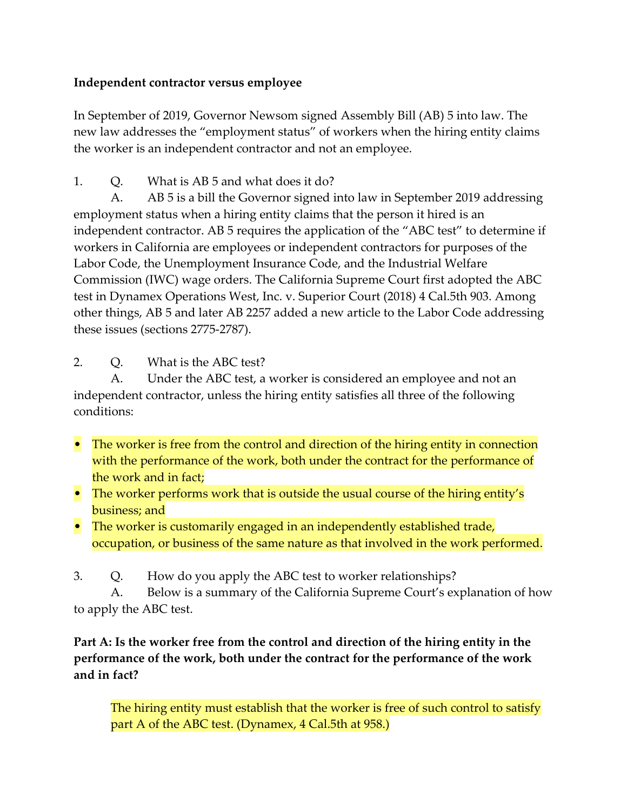## **Independent contractor versus employee**

In September of 2019, Governor Newsom signed Assembly Bill (AB) 5 into law. The new law addresses the "employment status" of workers when the hiring entity claims the worker is an independent contractor and not an employee.

1. Q. What is AB 5 and what does it do?

 A. AB 5 is a bill the Governor signed into law in September 2019 addressing employment status when a hiring entity claims that the person it hired is an independent contractor. AB 5 requires the application of the "ABC test" to determine if workers in California are employees or independent contractors for purposes of the Labor Code, the Unemployment Insurance Code, and the Industrial Welfare Commission (IWC) wage orders. The California Supreme Court first adopted the ABC test in Dynamex Operations West, Inc. v. Superior Court (2018) 4 Cal.5th 903. Among other things, AB 5 and later AB 2257 added a new article to the Labor Code addressing these issues (sections 2775-2787).

2. Q. What is the ABC test?

A. Under the ABC test, a worker is considered an employee and not an independent contractor, unless the hiring entity satisfies all three of the following conditions:

- The worker is free from the control and direction of the hiring entity in connection with the performance of the work, both under the contract for the performance of the work and in fact;
- The worker performs work that is outside the usual course of the hiring entity's business; and
- The worker is customarily engaged in an independently established trade, occupation, or business of the same nature as that involved in the work performed.
- 3. Q. How do you apply the ABC test to worker relationships?

A. Below is a summary of the California Supreme Court's explanation of how to apply the ABC test.

**Part A: Is the worker free from the control and direction of the hiring entity in the performance of the work, both under the contract for the performance of the work and in fact?**

The hiring entity must establish that the worker is free of such control to satisfy part A of the ABC test. (Dynamex, 4 Cal.5th at 958.)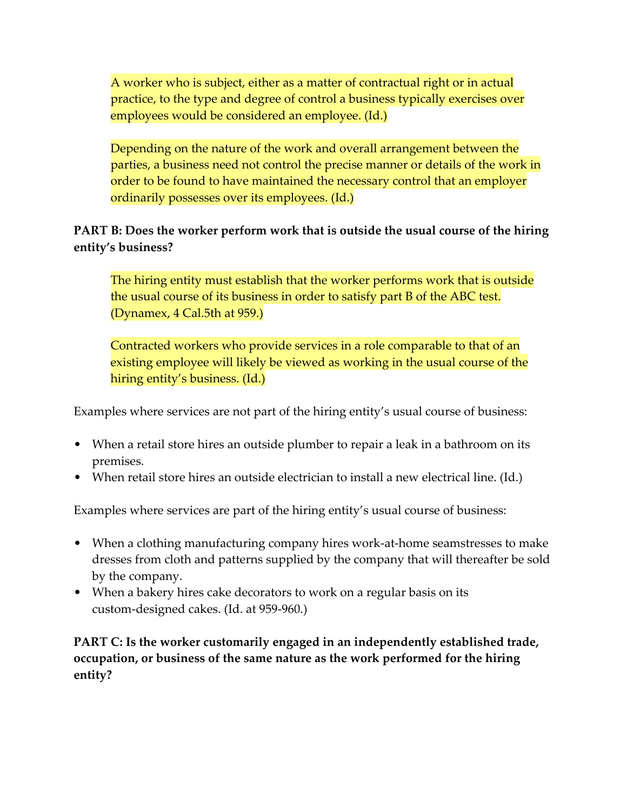A worker who is subject, either as a matter of contractual right or in actual practice, to the type and degree of control a business typically exercises over employees would be considered an employee. (Id.)

Depending on the nature of the work and overall arrangement between the parties, a business need not control the precise manner or details of the work in order to be found to have maintained the necessary control that an employer ordinarily possesses over its employees. (Id.)

## **PART B: Does the worker perform work that is outside the usual course of the hiring entity's business?**

The hiring entity must establish that the worker performs work that is outside the usual course of its business in order to satisfy part B of the ABC test. (Dynamex, 4 Cal.5th at 959.)

Contracted workers who provide services in a role comparable to that of an existing employee will likely be viewed as working in the usual course of the hiring entity's business. (Id.)

Examples where services are not part of the hiring entity's usual course of business:

- When a retail store hires an outside plumber to repair a leak in a bathroom on its premises.
- When retail store hires an outside electrician to install a new electrical line. (Id.)

Examples where services are part of the hiring entity's usual course of business:

- When a clothing manufacturing company hires work-at-home seamstresses to make dresses from cloth and patterns supplied by the company that will thereafter be sold by the company.
- When a bakery hires cake decorators to work on a regular basis on its custom-designed cakes. (Id. at 959-960.)

**PART C: Is the worker customarily engaged in an independently established trade, occupation, or business of the same nature as the work performed for the hiring entity?**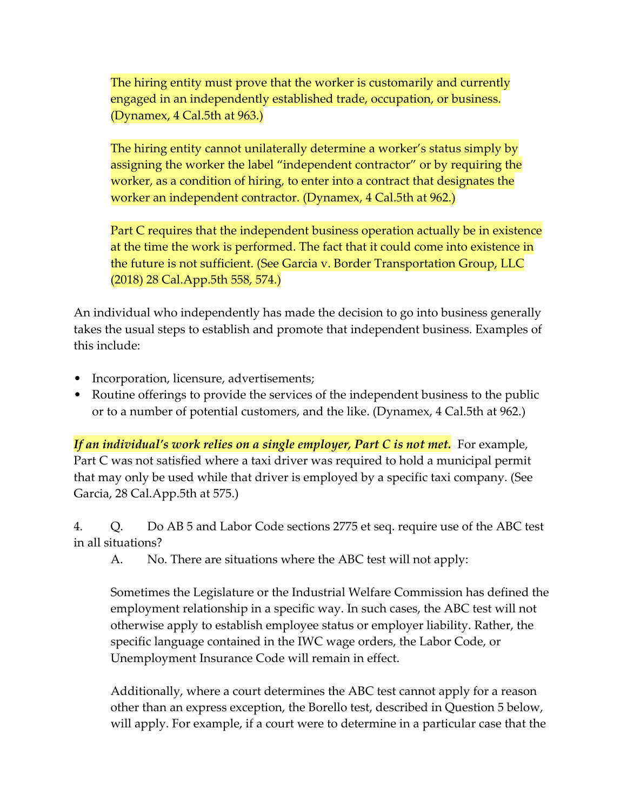The hiring entity must prove that the worker is customarily and currently engaged in an independently established trade, occupation, or business. (Dynamex, 4 Cal.5th at 963.)

The hiring entity cannot unilaterally determine a worker's status simply by assigning the worker the label "independent contractor" or by requiring the worker, as a condition of hiring, to enter into a contract that designates the worker an independent contractor. (Dynamex, 4 Cal.5th at 962.)

Part C requires that the independent business operation actually be in existence at the time the work is performed. The fact that it could come into existence in the future is not sufficient. (See Garcia v. Border Transportation Group, LLC (2018) 28 Cal.App.5th 558, 574.)

An individual who independently has made the decision to go into business generally takes the usual steps to establish and promote that independent business. Examples of this include:

- Incorporation, licensure, advertisements;
- Routine offerings to provide the services of the independent business to the public or to a number of potential customers, and the like. (Dynamex, 4 Cal.5th at 962.)

*If an individual's work relies on a single employer, Part C is not met.* For example, Part C was not satisfied where a taxi driver was required to hold a municipal permit that may only be used while that driver is employed by a specific taxi company. (See Garcia, 28 Cal.App.5th at 575.)

4. Q. Do AB 5 and Labor Code sections 2775 et seq. require use of the ABC test in all situations?

A. No. There are situations where the ABC test will not apply:

Sometimes the Legislature or the Industrial Welfare Commission has defined the employment relationship in a specific way. In such cases, the ABC test will not otherwise apply to establish employee status or employer liability. Rather, the specific language contained in the IWC wage orders, the Labor Code, or Unemployment Insurance Code will remain in effect.

Additionally, where a court determines the ABC test cannot apply for a reason other than an express exception, the Borello test, described in Question 5 below, will apply. For example, if a court were to determine in a particular case that the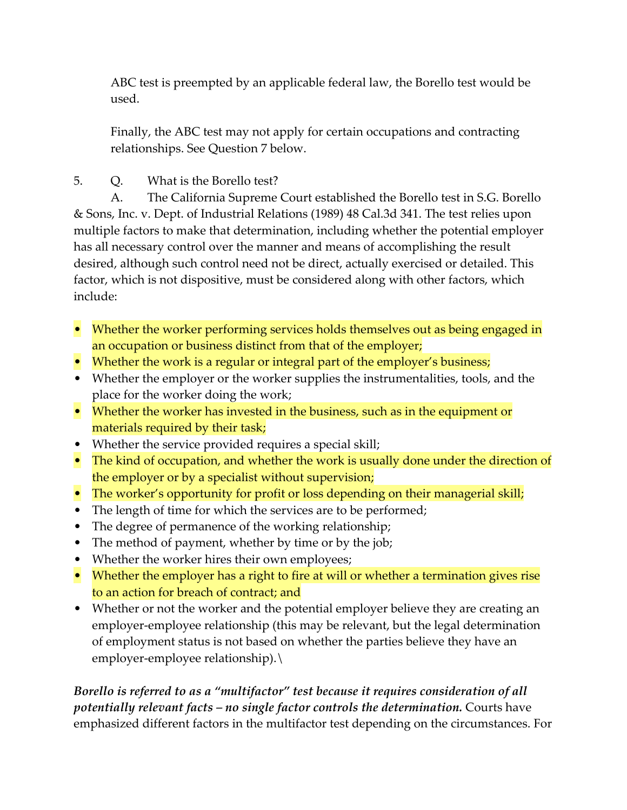ABC test is preempted by an applicable federal law, the Borello test would be used.

Finally, the ABC test may not apply for certain occupations and contracting relationships. See Question 7 below.

5. Q. What is the Borello test?

A. The California Supreme Court established the Borello test in S.G. Borello & Sons, Inc. v. Dept. of Industrial Relations (1989) 48 Cal.3d 341. The test relies upon multiple factors to make that determination, including whether the potential employer has all necessary control over the manner and means of accomplishing the result desired, although such control need not be direct, actually exercised or detailed. This factor, which is not dispositive, must be considered along with other factors, which include:

- Whether the worker performing services holds themselves out as being engaged in an occupation or business distinct from that of the employer;
- Whether the work is a regular or integral part of the employer's business;
- Whether the employer or the worker supplies the instrumentalities, tools, and the place for the worker doing the work;
- Whether the worker has invested in the business, such as in the equipment or materials required by their task;
- Whether the service provided requires a special skill;
- The kind of occupation, and whether the work is usually done under the direction of the employer or by a specialist without supervision;
- The worker's opportunity for profit or loss depending on their managerial skill;
- The length of time for which the services are to be performed;
- The degree of permanence of the working relationship;
- The method of payment, whether by time or by the job;
- Whether the worker hires their own employees;
- Whether the employer has a right to fire at will or whether a termination gives rise to an action for breach of contract; and
- Whether or not the worker and the potential employer believe they are creating an employer-employee relationship (this may be relevant, but the legal determination of employment status is not based on whether the parties believe they have an employer-employee relationship).\

*Borello is referred to as a "multifactor" test because it requires consideration of all potentially relevant facts – no single factor controls the determination.* Courts have emphasized different factors in the multifactor test depending on the circumstances. For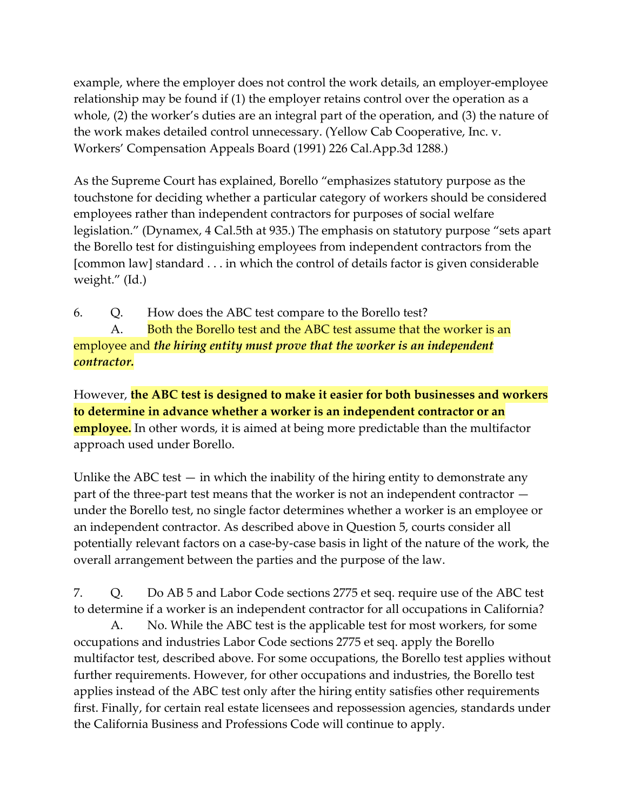example, where the employer does not control the work details, an employer-employee relationship may be found if (1) the employer retains control over the operation as a whole, (2) the worker's duties are an integral part of the operation, and (3) the nature of the work makes detailed control unnecessary. (Yellow Cab Cooperative, Inc. v. Workers' Compensation Appeals Board (1991) 226 Cal.App.3d 1288.)

As the Supreme Court has explained, Borello "emphasizes statutory purpose as the touchstone for deciding whether a particular category of workers should be considered employees rather than independent contractors for purposes of social welfare legislation." (Dynamex, 4 Cal.5th at 935.) The emphasis on statutory purpose "sets apart the Borello test for distinguishing employees from independent contractors from the [common law] standard . . . in which the control of details factor is given considerable weight." (Id.)

6. Q. How does the ABC test compare to the Borello test?

A. Both the Borello test and the ABC test assume that the worker is an employee and *the hiring entity must prove that the worker is an independent contractor.*

However, **the ABC test is designed to make it easier for both businesses and workers to determine in advance whether a worker is an independent contractor or an employee.** In other words, it is aimed at being more predictable than the multifactor approach used under Borello.

Unlike the ABC test  $-$  in which the inability of the hiring entity to demonstrate any part of the three-part test means that the worker is not an independent contractor under the Borello test, no single factor determines whether a worker is an employee or an independent contractor. As described above in Question 5, courts consider all potentially relevant factors on a case-by-case basis in light of the nature of the work, the overall arrangement between the parties and the purpose of the law.

7. Q. Do AB 5 and Labor Code sections 2775 et seq. require use of the ABC test to determine if a worker is an independent contractor for all occupations in California?

A. No. While the ABC test is the applicable test for most workers, for some occupations and industries Labor Code sections 2775 et seq. apply the Borello multifactor test, described above. For some occupations, the Borello test applies without further requirements. However, for other occupations and industries, the Borello test applies instead of the ABC test only after the hiring entity satisfies other requirements first. Finally, for certain real estate licensees and repossession agencies, standards under the California Business and Professions Code will continue to apply.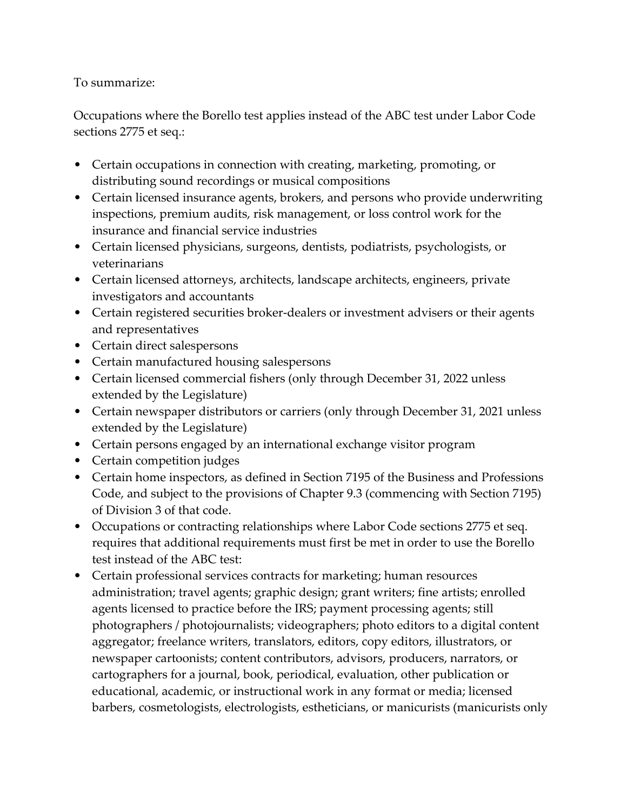## To summarize:

Occupations where the Borello test applies instead of the ABC test under Labor Code sections 2775 et seq.:

- Certain occupations in connection with creating, marketing, promoting, or distributing sound recordings or musical compositions
- Certain licensed insurance agents, brokers, and persons who provide underwriting inspections, premium audits, risk management, or loss control work for the insurance and financial service industries
- Certain licensed physicians, surgeons, dentists, podiatrists, psychologists, or veterinarians
- Certain licensed attorneys, architects, landscape architects, engineers, private investigators and accountants
- Certain registered securities broker-dealers or investment advisers or their agents and representatives
- Certain direct salespersons
- Certain manufactured housing salespersons
- Certain licensed commercial fishers (only through December 31, 2022 unless extended by the Legislature)
- Certain newspaper distributors or carriers (only through December 31, 2021 unless extended by the Legislature)
- Certain persons engaged by an international exchange visitor program
- Certain competition judges
- Certain home inspectors, as defined in Section 7195 of the Business and Professions Code, and subject to the provisions of Chapter 9.3 (commencing with Section 7195) of Division 3 of that code.
- Occupations or contracting relationships where Labor Code sections 2775 et seq. requires that additional requirements must first be met in order to use the Borello test instead of the ABC test:
- Certain professional services contracts for marketing; human resources administration; travel agents; graphic design; grant writers; fine artists; enrolled agents licensed to practice before the IRS; payment processing agents; still photographers / photojournalists; videographers; photo editors to a digital content aggregator; freelance writers, translators, editors, copy editors, illustrators, or newspaper cartoonists; content contributors, advisors, producers, narrators, or cartographers for a journal, book, periodical, evaluation, other publication or educational, academic, or instructional work in any format or media; licensed barbers, cosmetologists, electrologists, estheticians, or manicurists (manicurists only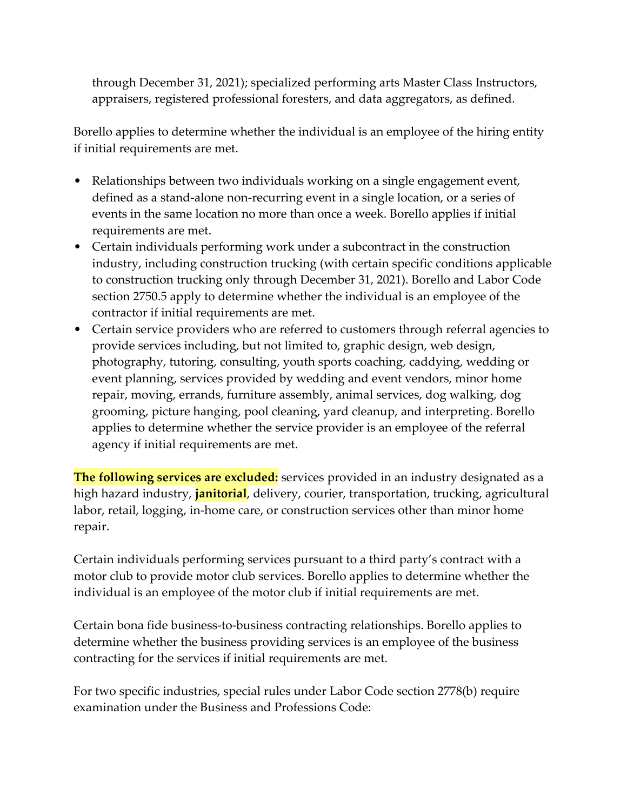through December 31, 2021); specialized performing arts Master Class Instructors, appraisers, registered professional foresters, and data aggregators, as defined.

Borello applies to determine whether the individual is an employee of the hiring entity if initial requirements are met.

- Relationships between two individuals working on a single engagement event, defined as a stand-alone non-recurring event in a single location, or a series of events in the same location no more than once a week. Borello applies if initial requirements are met.
- Certain individuals performing work under a subcontract in the construction industry, including construction trucking (with certain specific conditions applicable to construction trucking only through December 31, 2021). Borello and Labor Code section 2750.5 apply to determine whether the individual is an employee of the contractor if initial requirements are met.
- Certain service providers who are referred to customers through referral agencies to provide services including, but not limited to, graphic design, web design, photography, tutoring, consulting, youth sports coaching, caddying, wedding or event planning, services provided by wedding and event vendors, minor home repair, moving, errands, furniture assembly, animal services, dog walking, dog grooming, picture hanging, pool cleaning, yard cleanup, and interpreting. Borello applies to determine whether the service provider is an employee of the referral agency if initial requirements are met.

**The following services are excluded:** services provided in an industry designated as a high hazard industry, **janitorial**, delivery, courier, transportation, trucking, agricultural labor, retail, logging, in-home care, or construction services other than minor home repair.

Certain individuals performing services pursuant to a third party's contract with a motor club to provide motor club services. Borello applies to determine whether the individual is an employee of the motor club if initial requirements are met.

Certain bona fide business-to-business contracting relationships. Borello applies to determine whether the business providing services is an employee of the business contracting for the services if initial requirements are met.

For two specific industries, special rules under Labor Code section 2778(b) require examination under the Business and Professions Code: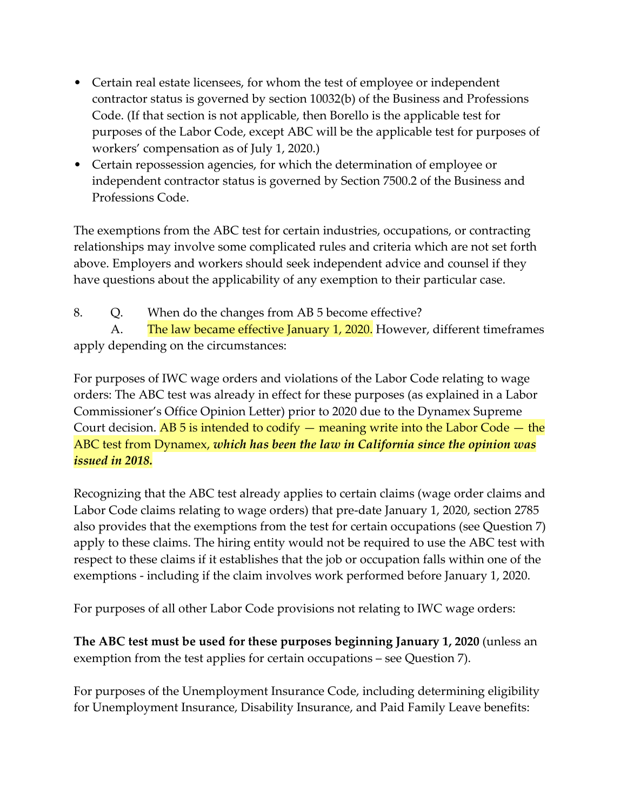- Certain real estate licensees, for whom the test of employee or independent contractor status is governed by section 10032(b) of the Business and Professions Code. (If that section is not applicable, then Borello is the applicable test for purposes of the Labor Code, except ABC will be the applicable test for purposes of workers' compensation as of July 1, 2020.)
- Certain repossession agencies, for which the determination of employee or independent contractor status is governed by Section 7500.2 of the Business and Professions Code.

The exemptions from the ABC test for certain industries, occupations, or contracting relationships may involve some complicated rules and criteria which are not set forth above. Employers and workers should seek independent advice and counsel if they have questions about the applicability of any exemption to their particular case.

8. Q. When do the changes from AB 5 become effective?

A. The law became effective January 1, 2020. However, different timeframes apply depending on the circumstances:

For purposes of IWC wage orders and violations of the Labor Code relating to wage orders: The ABC test was already in effect for these purposes (as explained in a Labor Commissioner's Office Opinion Letter) prior to 2020 due to the Dynamex Supreme Court decision. AB 5 is intended to codify  $-$  meaning write into the Labor Code  $-$  the ABC test from Dynamex, *which has been the law in California since the opinion was issued in 2018.*

Recognizing that the ABC test already applies to certain claims (wage order claims and Labor Code claims relating to wage orders) that pre-date January 1, 2020, section 2785 also provides that the exemptions from the test for certain occupations (see Question 7) apply to these claims. The hiring entity would not be required to use the ABC test with respect to these claims if it establishes that the job or occupation falls within one of the exemptions - including if the claim involves work performed before January 1, 2020.

For purposes of all other Labor Code provisions not relating to IWC wage orders:

**The ABC test must be used for these purposes beginning January 1, 2020** (unless an exemption from the test applies for certain occupations – see Question 7).

For purposes of the Unemployment Insurance Code, including determining eligibility for Unemployment Insurance, Disability Insurance, and Paid Family Leave benefits: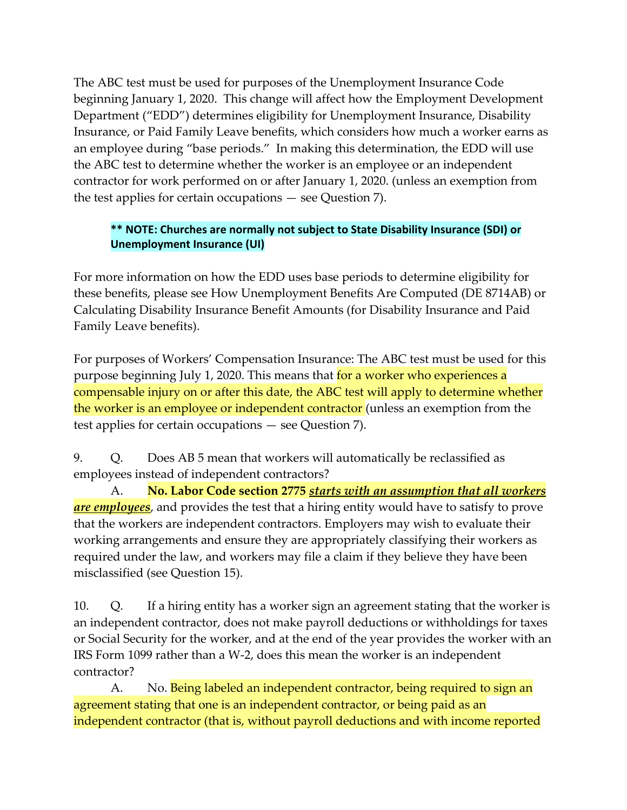The ABC test must be used for purposes of the Unemployment Insurance Code beginning January 1, 2020. This change will affect how the Employment Development Department ("EDD") determines eligibility for Unemployment Insurance, Disability Insurance, or Paid Family Leave benefits, which considers how much a worker earns as an employee during "base periods." In making this determination, the EDD will use the ABC test to determine whether the worker is an employee or an independent contractor for work performed on or after January 1, 2020. (unless an exemption from the test applies for certain occupations — see Question 7).

## **\*\* NOTE: Churches are normally not subject to State Disability Insurance (SDI) or Unemployment Insurance (UI)**

For more information on how the EDD uses base periods to determine eligibility for these benefits, please see How Unemployment Benefits Are Computed (DE 8714AB) or Calculating Disability Insurance Benefit Amounts (for Disability Insurance and Paid Family Leave benefits).

For purposes of Workers' Compensation Insurance: The ABC test must be used for this purpose beginning July 1, 2020. This means that for a worker who experiences a compensable injury on or after this date, the ABC test will apply to determine whether the worker is an employee or independent contractor (unless an exemption from the test applies for certain occupations — see Question 7).

9. Q. Does AB 5 mean that workers will automatically be reclassified as employees instead of independent contractors?

A. **No. Labor Code section 2775** *starts with an assumption that all workers are employees*, and provides the test that a hiring entity would have to satisfy to prove that the workers are independent contractors. Employers may wish to evaluate their working arrangements and ensure they are appropriately classifying their workers as required under the law, and workers may file a claim if they believe they have been misclassified (see Question 15).

10. Q. If a hiring entity has a worker sign an agreement stating that the worker is an independent contractor, does not make payroll deductions or withholdings for taxes or Social Security for the worker, and at the end of the year provides the worker with an IRS Form 1099 rather than a W-2, does this mean the worker is an independent contractor?

A. No. Being labeled an independent contractor, being required to sign an agreement stating that one is an independent contractor, or being paid as an independent contractor (that is, without payroll deductions and with income reported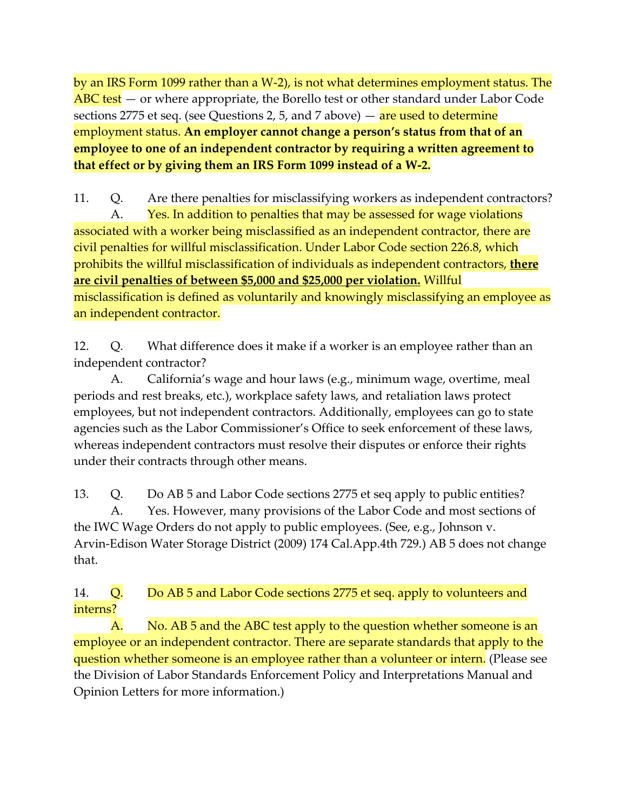by an IRS Form 1099 rather than a W-2), is not what determines employment status. The ABC test – or where appropriate, the Borello test or other standard under Labor Code sections 2775 et seq. (see Questions 2, 5, and 7 above)  $-$  are used to determine employment status. **An employer cannot change a person's status from that of an employee to one of an independent contractor by requiring a written agreement to that effect or by giving them an IRS Form 1099 instead of a W-2.**

11. Q. Are there penalties for misclassifying workers as independent contractors? A. Yes. In addition to penalties that may be assessed for wage violations associated with a worker being misclassified as an independent contractor, there are civil penalties for willful misclassification. Under Labor Code section 226.8, which prohibits the willful misclassification of individuals as independent contractors, **there are civil penalties of between \$5,000 and \$25,000 per violation.** Willful misclassification is defined as voluntarily and knowingly misclassifying an employee as an independent contractor.

12. Q. What difference does it make if a worker is an employee rather than an independent contractor?

A. California's wage and hour laws (e.g., minimum wage, overtime, meal periods and rest breaks, etc.), workplace safety laws, and retaliation laws protect employees, but not independent contractors. Additionally, employees can go to state agencies such as the Labor Commissioner's Office to seek enforcement of these laws, whereas independent contractors must resolve their disputes or enforce their rights under their contracts through other means.

13. Q. Do AB 5 and Labor Code sections 2775 et seq apply to public entities? A. Yes. However, many provisions of the Labor Code and most sections of the IWC Wage Orders do not apply to public employees. (See, e.g., Johnson v. Arvin-Edison Water Storage District (2009) 174 Cal.App.4th 729.) AB 5 does not change that.

14. Q. Do AB 5 and Labor Code sections 2775 et seq. apply to volunteers and interns?

A. No. AB 5 and the ABC test apply to the question whether someone is an employee or an independent contractor. There are separate standards that apply to the question whether someone is an employee rather than a volunteer or intern. (Please see the Division of Labor Standards Enforcement Policy and Interpretations Manual and Opinion Letters for more information.)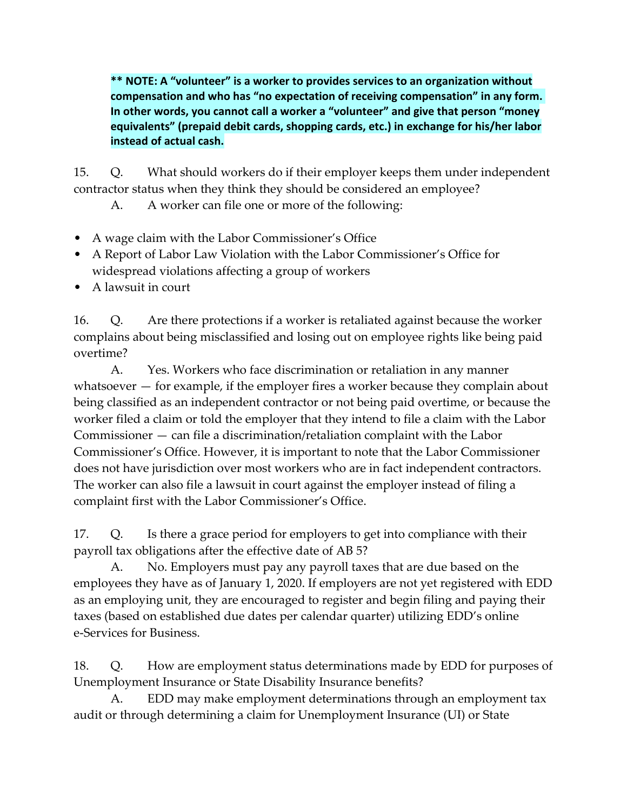**\*\* NOTE: A "volunteer" is a worker to provides services to an organization without compensation and who has "no expectation of receiving compensation" in any form. In other words, you cannot call a worker a "volunteer" and give that person "money equivalents" (prepaid debit cards, shopping cards, etc.) in exchange for his/her labor instead of actual cash.**

15. Q. What should workers do if their employer keeps them under independent contractor status when they think they should be considered an employee?

A. A worker can file one or more of the following:

- A wage claim with the Labor Commissioner's Office
- A Report of Labor Law Violation with the Labor Commissioner's Office for widespread violations affecting a group of workers
- A lawsuit in court

16. Q. Are there protections if a worker is retaliated against because the worker complains about being misclassified and losing out on employee rights like being paid overtime?

A. Yes. Workers who face discrimination or retaliation in any manner whatsoever — for example, if the employer fires a worker because they complain about being classified as an independent contractor or not being paid overtime, or because the worker filed a claim or told the employer that they intend to file a claim with the Labor Commissioner — can file a discrimination/retaliation complaint with the Labor Commissioner's Office. However, it is important to note that the Labor Commissioner does not have jurisdiction over most workers who are in fact independent contractors. The worker can also file a lawsuit in court against the employer instead of filing a complaint first with the Labor Commissioner's Office.

17. Q. Is there a grace period for employers to get into compliance with their payroll tax obligations after the effective date of AB 5?

A. No. Employers must pay any payroll taxes that are due based on the employees they have as of January 1, 2020. If employers are not yet registered with EDD as an employing unit, they are encouraged to register and begin filing and paying their taxes (based on established due dates per calendar quarter) utilizing EDD's online e-Services for Business.

18. Q. How are employment status determinations made by EDD for purposes of Unemployment Insurance or State Disability Insurance benefits?

A. EDD may make employment determinations through an employment tax audit or through determining a claim for Unemployment Insurance (UI) or State